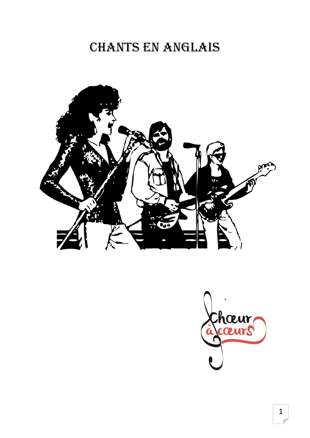# Chants en Anglais



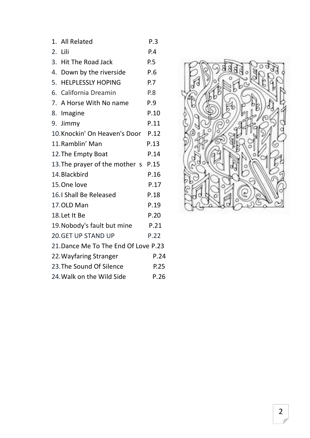| 1. All Related                       | P.3  |
|--------------------------------------|------|
| 2. Lili                              | P.4  |
| 3. Hit The Road Jack                 | P.5  |
| 4. Down by the riverside             | P.6  |
| 5. HELPLESSLY HOPING                 | P.7  |
| 6. California Dreamin                | P.8  |
| 7. A Horse With No name              | P.9  |
| 8. Imagine                           | P.10 |
| 9. Jimmy                             | P.11 |
| 10. Knockin' On Heaven's Door P.12   |      |
| 11. Ramblin' Man                     | P.13 |
| 12. The Empty Boat                   | P.14 |
| 13. The prayer of the mother s P.15  |      |
| 14. Blackbird                        | P.16 |
| 15.One love                          | P.17 |
| 16.I Shall Be Released               | P.18 |
| 17.OLD Man                           | P.19 |
| 18. Let It Be                        | P.20 |
| 19. Nobody's fault but mine          | P.21 |
| <b>20.GET UP STAND UP</b>            | P.22 |
| 21. Dance Me To The End Of Love P.23 |      |
| 22. Wayfaring Stranger               | P.24 |
| 23. The Sound Of Silence             | P.25 |
| 24. Walk on the Wild Side            | P.26 |

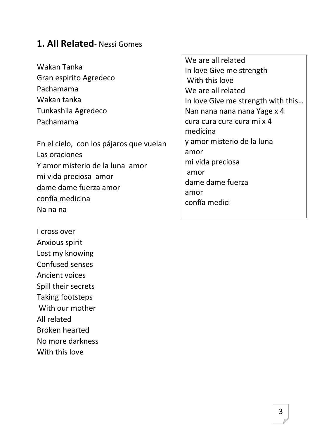## **1. All Related**- [Nessi Gomes](https://www.musixmatch.com/fr/artist/Nessi-Gomes)

Wakan Tanka Gran espirito Agredeco Pachamama Wakan tanka Tunkashila Agredeco Pachamama

En el cielo, con los pájaros que vuelan Las oraciones Y amor misterio de la luna amor mi vida preciosa amor dame dame fuerza amor confía medicina Na na na

I cross over Anxious spirit Lost my knowing Confused senses Ancient voices Spill their secrets Taking footsteps With our mother All related Broken hearted No more darkness With this love

We are all related In love Give me strength With this love We are all related In love Give me strength with this… Nan nana nana nana Yage x 4 cura cura cura cura mi x 4 medicina y amor misterio de la luna amor mi vida preciosa amor dame dame fuerza amor confía medici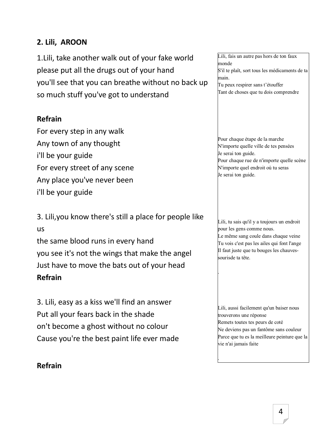## **2. Lili, AROON**

1.Lili, take another walk out of your fake world please put all the drugs out of your hand you'll see that you can breathe without no back up so much stuff you've got to understand

## **Refrain**

For every step in any walk Any town of any thought i'll be your guide For every street of any scene Any place you've never been i'll be your guide

3. Lili,you know there's still a place for people like us

the same blood runs in every hand you see it's not the wings that make the angel Just have to move the bats out of your head **Refrain**

3. Lili, easy as a kiss we'll find an answer Put all your fears back in the shade on't become a ghost without no colour Cause you're the best paint life ever made Lili, fais un autre pas hors de ton faux monde S'il te plaît, sort tous les médicaments de ta main. Tu peux respirer sans t'étouffer Tant de choses que tu dois comprendre

Pour chaque étape de la marche N'importe quelle ville de tes pensées Je serai ton guide. Pour chaque rue de n'importe quelle scène N'importe quel endroit où tu seras Je serai ton guide.

Lili, tu sais qu'il y a toujours un endroit pour les gens comme nous.

Le même sang coule dans chaque veine Tu vois c'est pas les ailes qui font l'ange Il faut juste que tu bouges les chauvessourisde ta tête.

.

.

Lili, aussi facilement qu'un baiser nous trouverons une réponse Remets toutes tes peurs de coté Ne deviens pas un fantôme sans couleur Parce que tu es la meilleure peinture que la vie n'ai jamais faite

#### **Refrain**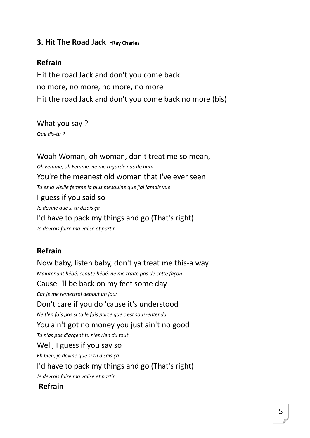### **3. Hit The Road Jack -Ray Charles**

## **Refrain** Hit the road Jack and don't you come back no more, no more, no more, no more Hit the road Jack and don't you come back no more (bis)

## What you say ?

*Que dis-tu ?*

Woah Woman, oh woman, don't treat me so mean, *Oh Femme, oh Femme, ne me regarde pas de haut* You're the meanest old woman that I've ever seen *Tu es la vieille femme la plus mesquine que j'ai jamais vue* I guess if you said so *Je devine que si tu disais ça* I'd have to pack my things and go (That's right) *Je devrais faire ma valise et partir*

## **Refrain**

Now baby, listen baby, don't ya treat me this-a way *Maintenant bébé, écoute bébé, ne me traite pas de cette façon* Cause I'll be back on my feet some day *Car je me remettrai debout un jour* Don't care if you do 'cause it's understood *Ne t'en fais pas si tu le fais parce que c'est sous-entendu* You ain't got no money you just ain't no good *Tu n'as pas d'argent tu n'es rien du tout* Well, I guess if you say so *Eh bien, je devine que si tu disais ça* I'd have to pack my things and go (That's right) *Je devrais faire ma valise et partir*

## **Refrain**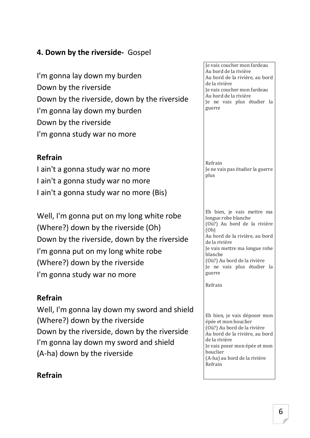## **4. Down by the riverside-** Gospel

I'm gonna lay down my burden Down by the riverside Down by the riverside, down by the riverside I'm gonna lay down my burden Down by the riverside I'm gonna study war no more

## **Refrain**

I ain't a gonna study war no more I ain't a gonna study war no more I ain't a gonna study war no more (Bis)

Well, I'm gonna put on my long white robe (Where?) down by the riverside (Oh) Down by the riverside, down by the riverside I'm gonna put on my long white robe (Where?) down by the riverside I'm gonna study war no more

## **Refrain**

Well, I'm gonna lay down my sword and shield (Where?) down by the riverside Down by the riverside, down by the riverside I'm gonna lay down my sword and shield (A-ha) down by the riverside

Je vais coucher mon fardeau Au bord de la rivière Au bord de la rivière, au bord de la rivière Je vais coucher mon fardeau Au bord de la rivière Je ne vais plus étudier la guerre

Refrain Je ne vais pas étudier la guerre plus

Eh bien, je vais mettre ma longue robe blanche (Où?) Au bord de la rivière (Oh) Au bord de la rivière, au bord de la rivière Je vais mettre ma longue robe blanche (Où?) Au bord de la rivière Je ne vais plus étudier la guerre

Refrain

Eh bien, je vais déposer mon épée et mon bouclier (Où?) Au bord de la rivière Au bord de la rivière, au bord de la rivière Je vais poser mon épée et mon bouclier (A-ha) au bord de la rivière Refrain

## **Refrain**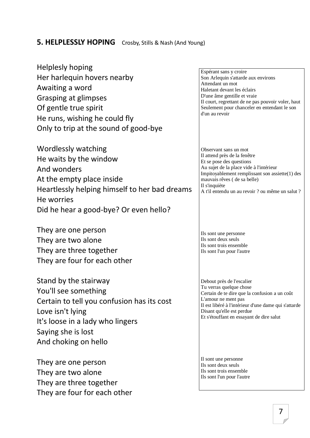## **5. HELPLESSLY HOPING** Crosby, Stills & Nash (And Young)

| <b>Helplesly hoping</b>                       |                                                                                            |
|-----------------------------------------------|--------------------------------------------------------------------------------------------|
| Her harlequin hovers nearby                   | Espérant sans y croire<br>Son Arlequin s'attarde aux environs                              |
| Awaiting a word                               | Attendant un mot<br>Haletant devant les éclairs                                            |
| Grasping at glimpses                          | D'une âme gentille et vraie<br>Il court, regrettant de ne pas pouvoir voler, haut          |
| Of gentle true spirit                         | Seulement pour chanceler en entendant le son                                               |
| He runs, wishing he could fly                 | d'un au revoir                                                                             |
| Only to trip at the sound of good-bye         |                                                                                            |
| <b>Wordlessly watching</b>                    | Observant sans un mot                                                                      |
| He waits by the window                        | Il attend près de la fenêtre<br>Et se pose des questions                                   |
| And wonders                                   | Au sujet de la place vide à l'intérieur<br>Impitoyablement remplissant son assiette(1) des |
| At the empty place inside                     | mauvais rêves (de sa belle)                                                                |
| Heartlessly helping himself to her bad dreams | Il s'inquiète<br>A t'il entendu un au revoir ? ou même un salut ?                          |
| He worries                                    |                                                                                            |
| Did he hear a good-bye? Or even hello?        |                                                                                            |
| They are one person                           | Ils sont une personne                                                                      |
| They are two alone                            | Ils sont deux seuls<br>Ils sont trois ensemble                                             |
| They are three together                       | Ils sont l'un pour l'autre                                                                 |
| They are four for each other                  |                                                                                            |
| Stand by the stairway                         | Debout près de l'escalier                                                                  |
| You'll see something                          | Tu verras quelque chose<br>Certain de te dire que la confusion a un coût                   |
| Certain to tell you confusion has its cost    | L'amour ne ment pas<br>Il est libéré à l'intérieur d'une dame qui s'attarde                |
| Love isn't lying                              | Disant qu'elle est perdue<br>Et s'étouffant en essayant de dire salut                      |
| It's loose in a lady who lingers              |                                                                                            |
| Saying she is lost                            |                                                                                            |
| And choking on hello                          |                                                                                            |
| They are one person                           | Il sont une personne<br>Ils sont deux seuls                                                |
| They are two alone                            | Ils sont trois ensemble<br>Ils sont l'un pour l'autre                                      |
| They are three together                       |                                                                                            |
| They are four for each other                  |                                                                                            |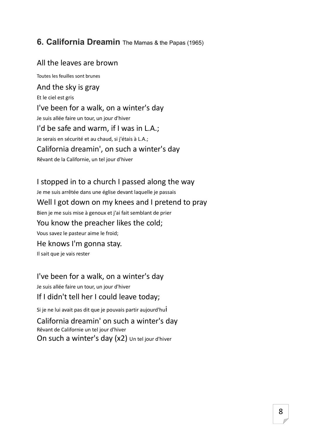## **6. California Dreamin** The Mamas & the Papas (1965)

#### All the leaves are brown

Toutes les feuilles sont brunes And the sky is gray Et le ciel est gris I've been for a walk, on a winter's day Je suis allée faire un tour, un jour d'hiver I'd be safe and warm, if I was in L.A.; Je serais en sécurité et au chaud, si j'étais à L.A.; California dreamin', on such a winter's day Rêvant de la Californie, un tel jour d'hiver

#### I stopped in to a church I passed along the way

Je me suis arrêtée dans une église devant laquelle je passais Well I got down on my knees and I pretend to pray Bien je me suis mise à genoux et j'ai fait semblant de prier You know the preacher likes the cold; Vous savez le pasteur aime le froid; He knows I'm gonna stay. Il sait que je vais rester

I've been for a walk, on a winter's day Je suis allée faire un tour, un jour d'hiver If I didn't tell her I could leave today;

Si je ne lui avait pas dit que je pouvais partir aujourd'hui

California dreamin' on such a winter's day Rêvant de Californie un tel jour d'hiver On such a winter's day (x2) Un tel jour d'hiver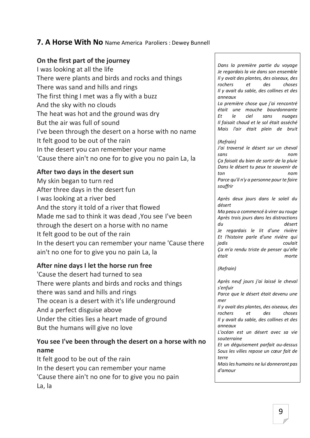### **7. A Horse With No** Name [America](https://www.google.be/search?rlz=1C1GGRV_enBE780BE780&q=America+(groupe)&stick=H4sIAAAAAAAAAONgVuLUz9U3MDQ2KUsCADK5QawNAAAA&sa=X&ved=0ahUKEwj2m4qT9tzbAhUEIlAKHUrmCVUQMQguMAA) Paroliers : Dewey Bunnell

#### **On the first part of the journey**

I was looking at all the life There were plants and birds and rocks and things There was sand and hills and rings The first thing I met was a fly with a buzz And the sky with no clouds The heat was hot and the ground was dry But the air was full of sound I've been through the desert on a horse with no name It felt good to be out of the rain In the desert you can remember your name 'Cause there ain't no one for to give you no pain La, la

#### **After two days in the desert sun**

My skin began to turn red After three days in the desert fun I was looking at a river bed And the story it told of a river that flowed Made me sad to think it was dead ,You see I've been through the desert on a horse with no name It felt good to be out of the rain In the desert you can remember your name 'Cause there ain't no one for to give you no pain La, la

#### **After nine days I let the horse run free**

'Cause the desert had turned to sea There were plants and birds and rocks and things there was sand and hills and rings The ocean is a desert with it's life underground And a perfect disguise above Under the cities lies a heart made of ground But the humans will give no love

#### **You see I've been through the desert on a horse with no name**

It felt good to be out of the rain In the desert you can remember your name 'Cause there ain't no one for to give you no pain La, la

*Dans la première partie du voyage Je regardais la vie dans son ensemble Il y avait des plantes, des oiseaux, des rochers et des choses Il y avait du sable, des collines et des anneaux La première chose que j'ai rencontré était une mouche bourdonnante Et le ciel sans nuages Il faisait chaud et le sol était asséché Mais l'air était plein de bruit (Refrain) J'ai traversé le désert sur un cheval sans nom Ça faisait du bien de sortir de la pluie Dans le désert tu peux te souvenir de ton nom Parce qu'il n'y a personne pour te faire souffrir Après deux jours dans le soleil du désert Ma peau a commencé à virer au rouge Après trois jours dans les distractions du désert Je regardais le lit d'une rivière Et l'histoire parle d'une rivière qui jadis coulait Ça m'a rendu triste de penser qu'elle était morte (Refrain) Après neuf jours j'ai laissé le cheval* 

*s'enfuir Parce que le désert était devenu une mer Il y avait des plantes, des oiseaux, des rochers et des choses Il y avait du sable, des collines et des anneaux L'océan est un désert avec sa vie souterraine Et un déguisement parfait au-dessus Sous les villes repose un cœur fait de terre Mais les humains ne lui donneront pas d'amour*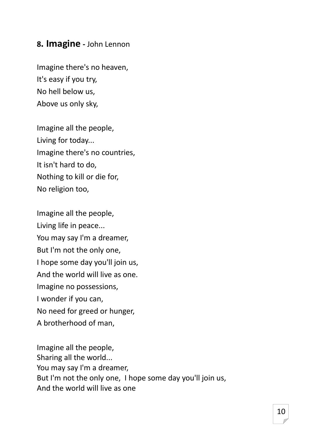## **8. Imagine -** John Lennon

Imagine there's no heaven, It's easy if you try, No hell below us, Above us only sky,

Imagine all the people, Living for today... Imagine there's no countries, It isn't hard to do, Nothing to kill or die for, No religion too,

Imagine all the people, Living life in peace... You may say I'm a dreamer, But I'm not the only one, I hope some day you'll join us, And the world will live as one. Imagine no possessions, I wonder if you can, No need for greed or hunger, A brotherhood of man,

Imagine all the people, Sharing all the world... You may say I'm a dreamer, But I'm not the only one,I hope some day you'll join us, And the world will live as one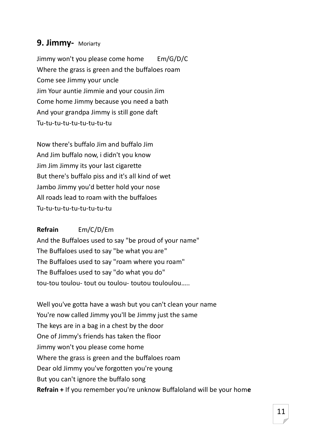## **9. Jimmy-** Moriarty

Jimmy won't you please come home Em/G/D/C Where the grass is green and the buffaloes roam Come see Jimmy your uncle Jim Your auntie Jimmie and your cousin Jim Come home Jimmy because you need a bath And your grandpa Jimmy is still gone daft Tu-tu-tu-tu-tu-tu-tu-tu-tu

Now there's buffalo Jim and buffalo Jim And Jim buffalo now, i didn't you know Jim Jim Jimmy its your last cigarette But there's buffalo piss and it's all kind of wet Jambo Jimmy you'd better hold your nose All roads lead to roam with the buffaloes Tu-tu-tu-tu-tu-tu-tu-tu-tu

**Refrain** Em/C/D/Em And the Buffaloes used to say "be proud of your name" The Buffaloes used to say "be what you are" The Buffaloes used to say "roam where you roam" The Buffaloes used to say "do what you do" tou-tou toulou- tout ou toulou- toutou touloulou…..

Well you've gotta have a wash but you can't clean your name You're now called Jimmy you'll be Jimmy just the same The keys are in a bag in a chest by the door One of Jimmy's friends has taken the floor Jimmy won't you please come home Where the grass is green and the buffaloes roam Dear old Jimmy you've forgotten you're young But you can't ignore the buffalo song **Refrain +** If you remember you're unknow Buffaloland will be your hom**e**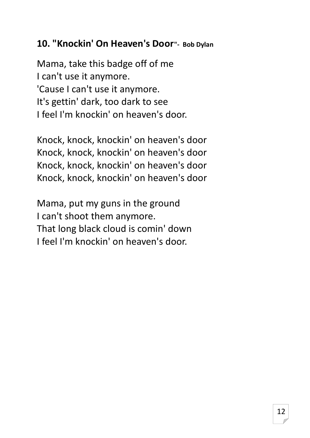## **10. "Knockin' On Heaven's Door"- Bob Dylan**

Mama, take this badge off of me I can't use it anymore. 'Cause I can't use it anymore. It's gettin' dark, too dark to see I feel I'm knockin' on heaven's door.

Knock, knock, knockin' on heaven's door Knock, knock, knockin' on heaven's door Knock, knock, knockin' on heaven's door Knock, knock, knockin' on heaven's door

Mama, put my guns in the ground I can't shoot them anymore. That long black cloud is comin' down I feel I'm knockin' on heaven's door.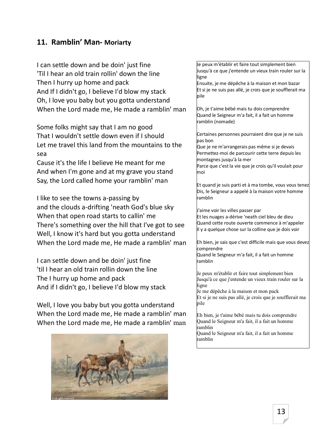### **11. Ramblin' Man- Moriarty**

I can settle down and be doin' just fine 'Til I hear an old train rollin' down the line Then I hurry up home and pack And If I didn't go, I believe I'd blow my stack Oh, I love you baby but you gotta understand When the Lord made me, He made a ramblin' man

Some folks might say that I am no good That I wouldn't settle down even if I should Let me travel this land from the mountains to the sea

Cause it's the life I believe He meant for me And when I'm gone and at my grave you stand Say, the Lord called home your ramblin' man

I like to see the towns a-passing by and the clouds a-drifting 'neath God's blue sky When that open road starts to callin' me There's something over the hill that I've got to see Well, I know it's hard but you gotta understand When the Lord made me, He made a ramblin' man

I can settle down and be doin' just fine 'til I hear an old train rollin down the line The I hurry up home and pack And if I didn't go, I believe I'd blow my stack

Well, I love you baby but you gotta understand When the Lord made me, He made a ramblin' man When the Lord made me, He made a ramblin' man



Je peux m'établir et faire tout simplement bien Jusqu'à ce que j'entende un vieux train rouler sur la ligne

Ensuite, je me dépêche à la maison et mon bazar Et si je ne suis pas allé, je crois que je soufflerait ma pile

Oh, je t'aime bébé mais tu dois comprendre Quand le Seigneur m'a fait, il a fait un homme ramblin (nomade)

Certaines personnes pourraient dire que je ne suis pas bon

Que je ne m'arrangerais pas même si je devais Permettez-moi de parcourir cette terre depuis les montagnes jusqu'à la mer

Parce que c'est la vie que je crois qu'il voulait pour moi

Et quand je suis parti et à ma tombe, vous vous tenez Dis, le Seigneur a appelé à la maison votre homme ramblin

J'aime voir les villes passer par Et les nuages a-dérive 'neath ciel bleu de dieu Quand cette route ouverte commence à m'appeler Il y a quelque chose sur la colline que je dois voir

Eh bien, je sais que c'est difficile mais que vous devez comprendre

Quand le Seigneur m'a fait, il a fait un homme ramblin

Je peux m'établir et faire tout simplement bien Jusqu'à ce que j'entende un vieux train rouler sur la ligne

Je me dépêche à la maison et mon pack Et si je ne suis pas allé, je crois que je soufflerait ma pile

Eh bien, je t'aime bébé mais tu dois comprendre Quand le Seigneur m'a fait, il a fait un homme ramblin Quand le Seigneur m'a fait, il a fait un homme ramblin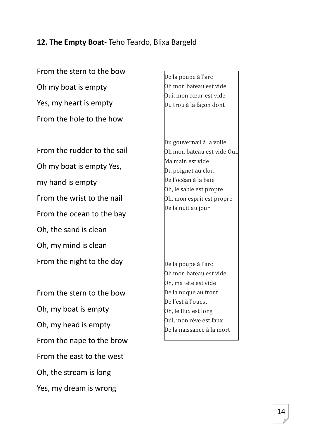### **12. The Empty Boat**- Teho Teardo, Blixa Bargeld

From the stern to the bow Oh my boat is empty Yes, my heart is empty From the hole to the how

From the rudder to the sail Oh my boat is empty Yes, my hand is empty From the wrist to the nail From the ocean to the bay Oh, the sand is clean Oh, my mind is clean From the night to the day

From the stern to the bow Oh, my boat is empty Oh, my head is empty From the nape to the brow From the east to the west Oh, the stream is long Yes, my dream is wrong

De la poupe à l'arc Oh mon bateau est vide Oui, mon cœur est vide Du trou à la façon dont

Du gouvernail à la voile Oh mon bateau est vide Oui, Ma main est vide Du poignet au clou De l'océan à la baie Oh, le sable est propre Oh, mon esprit est propre De la nuit au jour

De la poupe à l'arc Oh mon bateau est vide Oh, ma tête est vide De la nuque au front De l'est à l'ouest Oh, le flux est long Oui, mon rêve est faux De la naissance à la mort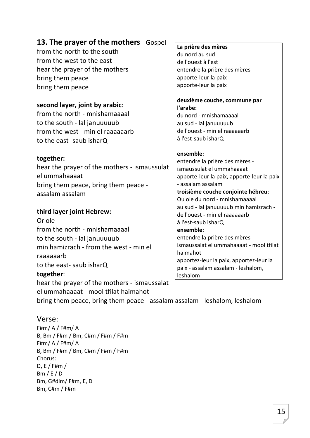## **13. The prayer of the mothers** Gospel

from the north to the south from the west to the east hear the prayer of the mothers bring them peace bring them peace

#### **second layer, joint by arabic**:

from the north - mnishamaaaal to the south - lal januuuuub from the west - min el raaaaaarb to the east- saub isharQ

#### **together:**

hear the prayer of the mothers - ismaussulat el ummahaaaat bring them peace, bring them peace assalam assalam

#### **third layer joint Hebrew:**

Or ole from the north - mnishamaaaal to the south - lal januuuuub min hamizrach - from the west - min el raaaaaarb to the east- saub isharQ **together**: hear the prayer of the mothers - ismaussalat el ummahaaaat - mool tfilat haimahot

**La prière des mères** du nord au sud de l'ouest à l'est entendre la prière des mères apporte-leur la paix

apporte-leur la paix

#### **deuxième couche, commune par l'arabe:**

du nord - mnishamaaaal au sud - lal januuuuub de l'ouest - min el raaaaaarb à l'est-saub isharQ

#### **ensemble:**

entendre la prière des mères ismaussulat el ummahaaaat apporte-leur la paix, apporte-leur la paix - assalam assalam **troisième couche conjointe hébreu**: Ou ole du nord - mnishamaaaal au sud - lal januuuuub min hamizrach de l'ouest - min el raaaaaarb à l'est-saub isharQ **ensemble:** entendre la prière des mères ismaussalat el ummahaaaat - mool tfilat haimahot apportez-leur la paix, apportez-leur la paix - assalam assalam - leshalom, leshalom

bring them peace, bring them peace - assalam assalam - leshalom, leshalom

#### Verse:

F#m/ A / F#m/ A B, Bm / F#m / Bm, C#m / F#m / F#m F#m/ A / F#m/ A B, Bm / F#m / Bm, C#m / F#m / F#m Chorus: D, E / F#m / Bm / E / D Bm, G#dim/ F#m, E, D Bm, C#m / F#m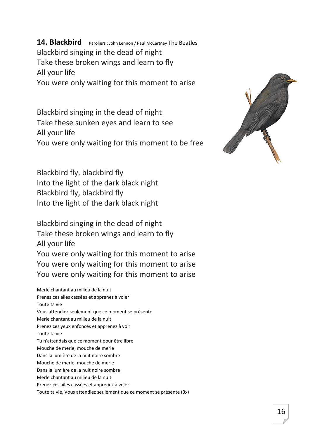14. Blackbird Paroliers : John Lennon / Paul McCartney [The Beatles](https://www.google.be/search?rlz=1C1GGRV_enBE780BE780&q=The+Beatles&stick=H4sIAAAAAAAAAONgVuLQz9U3ME82yAIAC_7r3AwAAAA&sa=X&ved=0ahUKEwijsquhtd_bAhUDKVAKHRq6ARIQMQgrMAA) Blackbird singing in the dead of night Take these broken wings and learn to fly All your life You were only waiting for this moment to arise

Blackbird singing in the dead of night Take these sunken eyes and learn to see All your life You were only waiting for this moment to be free



Blackbird fly, blackbird fly Into the light of the dark black night Blackbird fly, blackbird fly Into the light of the dark black night

Blackbird singing in the dead of night Take these broken wings and learn to fly All your life You were only waiting for this moment to arise You were only waiting for this moment to arise You were only waiting for this moment to arise

Merle chantant au milieu de la nuit Prenez ces ailes cassées et apprenez à voler Toute ta vie Vous attendiez seulement que ce moment se présente Merle chantant au milieu de la nuit Prenez ces yeux enfoncés et apprenez à voir Toute ta vie Tu n'attendais que ce moment pour être libre Mouche de merle, mouche de merle Dans la lumière de la nuit noire sombre Mouche de merle, mouche de merle Dans la lumière de la nuit noire sombre Merle chantant au milieu de la nuit Prenez ces ailes cassées et apprenez à voler Toute ta vie, Vous attendiez seulement que ce moment se présente (3x)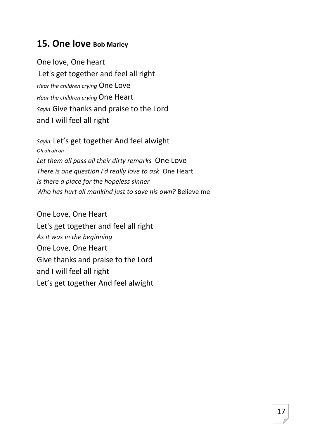## **15. One love Bob Marley**

One love, One heart Let's get together and feel all right *Hear the children crying* One Love *Hear the children crying*One Heart *Sayin* Give thanks and praise to the Lord and I will feel all right

*Sayin* Let's get together And feel alwight *Oh oh oh oh Let them all pass all their dirty remarks* One Love *There is one question I'd really love to ask* One Heart *Is there a place for the hopeless sinner Who has hurt all mankind just to save his own?* Believe me

One Love, One Heart Let's get together and feel all right *As it was in the beginning* One Love, One Heart Give thanks and praise to the Lord and I will feel all right Let's get together And feel alwight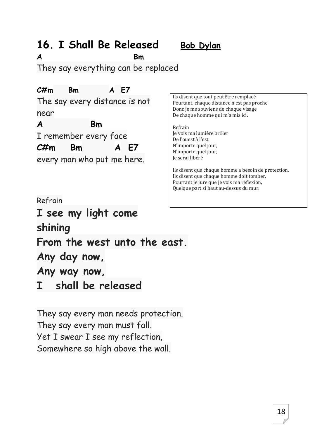# 16. I Shall Be Released **[Bob Dylan](https://www.google.be/search?rlz=1C1GGRV_enBE780BE780&q=Bob+Dylan&stick=H4sIAAAAAAAAAONgVuLSz9U3MCwryksuBgBiqtVvDgAAAA&sa=X&ved=2ahUKEwiih57d2aTdAhVSZ1AKHVmxCnYQMTAAegQICBAF)**

They say everything can be replaced

**C#m Bm A E7**

**A Bm**

The say every distance is not near

**A Bm** I remember every face **C#m Bm A E7**

every man who put me here.

Ils disent que tout peut être remplacé Pourtant, chaque distance n'est pas proche Donc je me souviens de chaque visage De chaque homme qui m'a mis ici.

Refrain Je vois ma lumière briller De l'ouest à l'est. N'importe quel jour, N'importe quel jour, Je serai libéré

Ils disent que chaque homme a besoin de protection. Ils disent que chaque homme doit tomber. Pourtant je jure que je vois ma réflexion, Quelque part si haut au-dessus du mur.

Refrain

**I see my light come shining From the west unto the east. Any day now, Any way now, I shall be released**

They say every man needs protection. They say every man must fall. Yet I swear I see my reflection, Somewhere so high above the wall.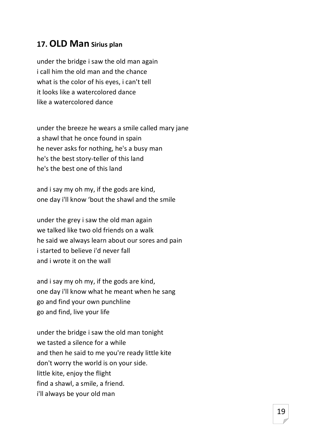## **17. OLD Man Sirius plan**

under the bridge i saw the old man again i call him the old man and the chance what is the color of his eyes, i can't tell it looks like a watercolored dance like a watercolored dance

under the breeze he wears a smile called mary jane a shawl that he once found in spain he never asks for nothing, he's a busy man he's the best story-teller of this land he's the best one of this land

and i say my oh my, if the gods are kind, one day i'll know 'bout the shawl and the smile

under the grey i saw the old man again we talked like two old friends on a walk he said we always learn about our sores and pain i started to believe i'd never fall and i wrote it on the wall

and i say my oh my, if the gods are kind, one day i'll know what he meant when he sang go and find your own punchline go and find, live your life

under the bridge i saw the old man tonight we tasted a silence for a while and then he said to me you're ready little kite don't worry the world is on your side. little kite, enjoy the flight find a shawl, a smile, a friend. i'll always be your old man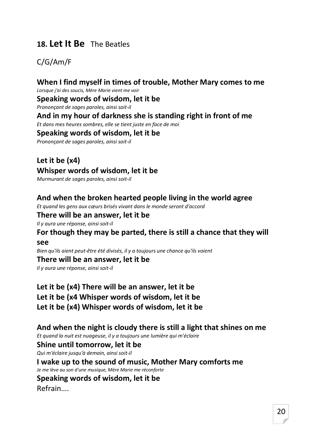## **18. Let It Be** The Beatles

## C/G/Am/F

**When I find myself in times of trouble, Mother Mary comes to me** *Lorsque j'ai des soucis, Mère Marie vient me voir* **Speaking words of wisdom, let it be** *Prononçant de sages paroles, ainsi soit-il* **And in my hour of darkness she is standing right in front of me** *Et dans mes heures sombres, elle se tient juste en face de moi* **Speaking words of wisdom, let it be** *Prononçant de sages paroles, ainsi soit-il*

**Let it be (x4) Whisper words of wisdom, let it be**

*Murmurant de sages paroles, ainsi soit-il*

#### **And when the broken hearted people living in the world agree**

*Et quand les gens aux cœurs brisés vivant dans le monde seront d'accord*

#### **There will be an answer, let it be**

*Il y aura une réponse, ainsi soit-il*

**For though they may be parted, there is still a chance that they will** 

#### **see**

*Bien qu'ils aient peut-être été divisés, il y a toujours une chance qu'ils voient*

#### **There will be an answer, let it be**

*Il y aura une réponse, ainsi soit-il*

**Let it be (x4) There will be an answer, let it be Let it be (x4 Whisper words of wisdom, let it be Let it be (x4) Whisper words of wisdom, let it be**

**And when the night is cloudy there is still a light that shines on me**

*Et quand la nuit est nuageuse, il y a toujours une lumière qui m'éclaire*

#### **Shine until tomorrow, let it be**

*Qui m'éclaire jusqu'à demain, ainsi soit-il*

**I wake up to the sound of music, Mother Mary comforts me** *Je me lève au son d'une musique, Mère Marie me réconforte*

**Speaking words of wisdom, let it be** Refrain….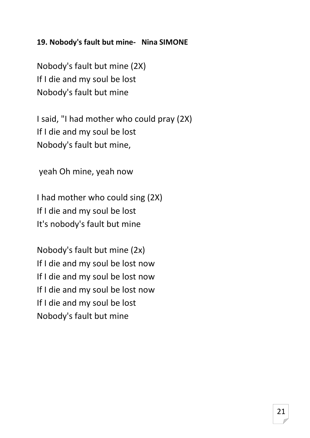## **19. Nobody's fault but mine- Nina SIMONE**

Nobody's fault but mine (2X) If I die and my soul be lost Nobody's fault but mine

I said, "I had mother who could pray (2X) If I die and my soul be lost Nobody's fault but mine,

yeah Oh mine, yeah now

I had mother who could sing (2X) If I die and my soul be lost It's nobody's fault but mine

Nobody's fault but mine (2x) If I die and my soul be lost now If I die and my soul be lost now If I die and my soul be lost now If I die and my soul be lost Nobody's fault but mine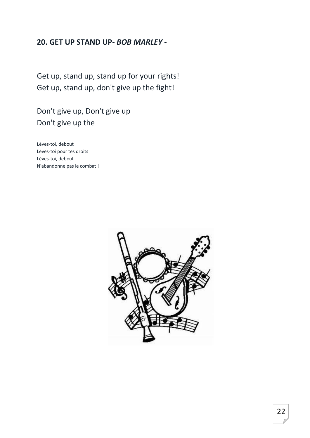### **20. GET UP STAND UP-** *BOB MARLEY* **-**

Get up, stand up, stand up for your rights! Get up, stand up, don't give up the fight!

Don't give up, Don't give up Don't give up the

Lèves-toi, debout Lèves-toi pour tes droits Lèves-toi, debout N'abandonne pas le combat !

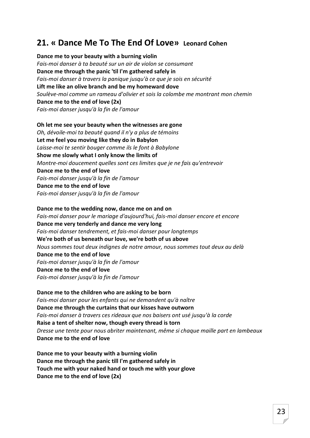## **21. « Dance Me To The End Of Love» Leonard Cohen**

**Dance me to your beauty with a burning violin** *Fais-moi danser à ta beauté sur un air de violon se consumant* **Dance me through the panic 'til I'm gathered safely in** *Fais-moi danser à travers la panique jusqu'à ce que je sois en sécurité* **Lift me like an olive branch and be my homeward dove** *Soulève-moi comme un rameau d'olivier et sois la colombe me montrant mon chemin* **Dance me to the end of love (2x)** *Fais-moi danser jusqu'à la fin de l'amour*

#### **Oh let me see your beauty when the witnesses are gone**

*Oh, dévoile-moi ta beauté quand il n'y a plus de témoins* **Let me feel you moving like they do in Babylon** *Laisse-moi te sentir bouger comme ils le font à Babylone* **Show me slowly what I only know the limits of** *Montre-moi doucement quelles sont ces limites que je ne fais qu'entrevoir* **Dance me to the end of love** *Fais-moi danser jusqu'à la fin de l'amour* **Dance me to the end of love** *Fais-moi danser jusqu'à la fin de l'amour*

**Dance me to the wedding now, dance me on and on** *Fais-moi danser pour le mariage d'aujourd'hui, fais-moi danser encore et encore* **Dance me very tenderly and dance me very long** *Fais-moi danser tendrement, et fais-moi danser pour longtemps* **We're both of us beneath our love, we're both of us above** *Nous sommes tout deux indignes de notre amour, nous sommes tout deux au delà* **Dance me to the end of love** *Fais-moi danser jusqu'à la fin de l'amour* **Dance me to the end of love** *Fais-moi danser jusqu'à la fin de l'amour*

**Dance me to the children who are asking to be born** *Fais-moi danser pour les enfants qui ne demandent qu'à naître* **Dance me through the curtains that our kisses have outworn** *Fais-moi danser à travers ces rideaux que nos baisers ont usé jusqu'à la corde* **Raise a tent of shelter now, though every thread is torn** *Dresse une tente pour nous abriter maintenant, même si chaque maille part en lambeaux* **Dance me to the end of love**

**Dance me to your beauty with a burning violin Dance me through the panic till I'm gathered safely in Touch me with your naked hand or touch me with your glove Dance me to the end of love (2x)**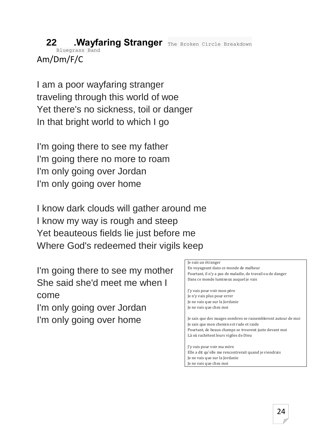## 22 **.Wayfaring Stranger** The Broken Circle Breakdown Bluegrass Band Am/Dm/F/C

I am a poor wayfaring stranger traveling through this world of woe Yet there's no sickness, toil or danger In that bright world to which I go

I'm going there to see my father I'm going there no more to roam I'm only going over Jordan I'm only going over home

I know dark clouds will gather around me I know my way is rough and steep Yet beauteous fields lie just before me Where God's redeemed their vigils keep

I'm going there to see my mother She said she'd meet me when I come

I'm only going over Jordan I'm only going over home

#### Je suis un étranger

En voyageant dans ce monde de malheur Pourtant, il n'y a pas de maladie, de travail ou de danger Dans ce monde lumineux auquel je vais J'y vais pour voir mon père

Je n'y vais plus pour errer Je ne vais que sur la Jordanie Je ne vais que chez moi

Je sais que des nuages sombres se rassembleront autour de moi Je sais que mon chemin est rude et raide Pourtant, de beaux champs se trouvent juste devant moi Là où rachètent leurs vigiles de Dieu

J'y vais pour voir ma mère Elle a dit qu'elle me rencontrerait quand je viendrais Je ne vais que sur la Jordanie Je ne vais que chez moi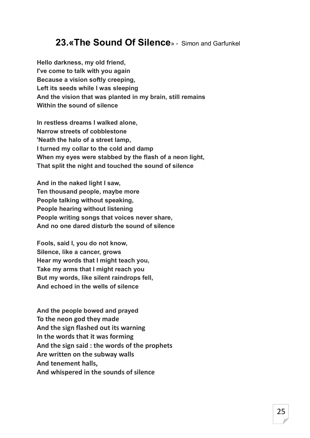## **23.«The Sound Of Silence**» - Simon and Garfunkel

**Hello darkness, my old friend, I've come to talk with you again Because a vision softly creeping, Left its seeds while I was sleeping And the vision that was planted in my brain, still remains Within the sound of silence**

**In restless dreams I walked alone, Narrow streets of cobblestone 'Neath the halo of a street lamp, I turned my collar to the cold and damp When my eyes were stabbed by the flash of a neon light, That split the night and touched the sound of silence**

**And in the naked light I saw, Ten thousand people, maybe more People talking without speaking, People hearing without listening People writing songs that voices never share, And no one dared disturb the sound of silence**

**Fools, said I, you do not know, Silence, like a cancer, grows Hear my words that I might teach you, Take my arms that I might reach you But my words, like silent raindrops fell, And echoed in the wells of silence**

**And the people bowed and prayed To the neon god they made And the sign flashed out its warning In the words that it was forming And the sign said : the words of the prophets Are written on the subway walls And tenement halls, And whispered in the sounds of silence**